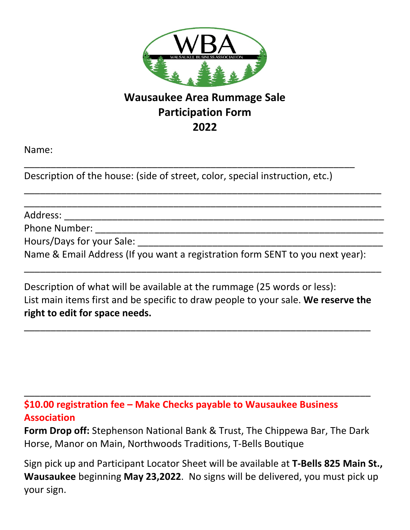

## **Wausaukee Area Rummage Sale Participation Form 2022**

\_\_\_\_\_\_\_\_\_\_\_\_\_\_\_\_\_\_\_\_\_\_\_\_\_\_\_\_\_\_\_\_\_\_\_\_\_\_\_\_\_\_\_\_\_\_\_\_\_\_\_\_\_\_\_\_\_\_\_\_\_\_\_\_\_\_\_ \_\_\_\_\_\_\_\_\_\_\_\_\_\_\_\_\_\_\_\_\_\_\_\_\_\_\_\_\_\_\_\_\_\_\_\_\_\_\_\_\_\_\_\_\_\_\_\_\_\_\_\_\_\_\_\_\_\_\_\_\_\_\_\_\_\_\_

Name:

Description of the house: (side of street, color, special instruction, etc.)

\_\_\_\_\_\_\_\_\_\_\_\_\_\_\_\_\_\_\_\_\_\_\_\_\_\_\_\_\_\_\_\_\_\_\_\_\_\_\_\_\_\_\_\_\_\_\_\_\_\_\_\_\_\_\_\_\_\_\_\_\_\_

Address: \_\_\_\_\_\_\_\_\_\_\_\_\_\_\_\_\_\_\_\_\_\_\_\_\_\_\_\_\_\_\_\_\_\_\_\_\_\_\_\_\_\_\_\_\_\_\_\_\_\_\_\_\_\_\_\_\_\_\_\_

Phone Number:

Hours/Days for your Sale:

Name & Email Address (If you want a registration form SENT to you next year):

\_\_\_\_\_\_\_\_\_\_\_\_\_\_\_\_\_\_\_\_\_\_\_\_\_\_\_\_\_\_\_\_\_\_\_\_\_\_\_\_\_\_\_\_\_\_\_\_\_\_\_\_\_\_\_\_\_\_\_\_\_\_\_\_\_\_\_

Description of what will be available at the rummage (25 words or less): List main items first and be specific to draw people to your sale. **We reserve the right to edit for space needs.**

\_\_\_\_\_\_\_\_\_\_\_\_\_\_\_\_\_\_\_\_\_\_\_\_\_\_\_\_\_\_\_\_\_\_\_\_\_\_\_\_\_\_\_\_\_\_\_\_\_\_\_\_\_\_\_\_\_\_\_\_\_\_\_\_\_

**\$10.00 registration fee – Make Checks payable to Wausaukee Business Association**

**Form Drop off:** Stephenson National Bank & Trust, The Chippewa Bar, The Dark Horse, Manor on Main, Northwoods Traditions, T-Bells Boutique

\_\_\_\_\_\_\_\_\_\_\_\_\_\_\_\_\_\_\_\_\_\_\_\_\_\_\_\_\_\_\_\_\_\_\_\_\_\_\_\_\_\_\_\_\_\_\_\_\_\_\_\_\_\_\_\_\_\_\_\_\_\_\_\_\_

Sign pick up and Participant Locator Sheet will be available at **T-Bells 825 Main St., Wausaukee** beginning **May 23,2022**. No signs will be delivered, you must pick up your sign.